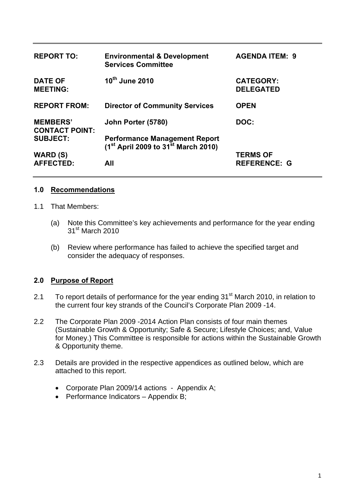| <b>REPORT TO:</b>                        | <b>Environmental &amp; Development</b><br><b>Services Committee</b>                          | <b>AGENDA ITEM: 9</b>                |
|------------------------------------------|----------------------------------------------------------------------------------------------|--------------------------------------|
| <b>DATE OF</b><br><b>MEETING:</b>        | 10 <sup>th</sup> June 2010                                                                   | <b>CATEGORY:</b><br><b>DELEGATED</b> |
| <b>REPORT FROM:</b>                      | <b>Director of Community Services</b>                                                        | <b>OPEN</b>                          |
| <b>MEMBERS'</b><br><b>CONTACT POINT:</b> | John Porter (5780)                                                                           | DOC:                                 |
| <b>SUBJECT:</b>                          | <b>Performance Management Report</b><br>$(1^{st}$ April 2009 to 31 <sup>st</sup> March 2010) |                                      |
| <b>WARD (S)</b>                          |                                                                                              | <b>TERMS OF</b>                      |
| <b>AFFECTED:</b>                         | All                                                                                          | <b>REFERENCE: G</b>                  |

#### **1.0 Recommendations**

- 1.1 That Members:
	- (a) Note this Committee's key achievements and performance for the year ending 31<sup>st</sup> March 2010
	- (b) Review where performance has failed to achieve the specified target and consider the adequacy of responses.

#### **2.0 Purpose of Report**

- 2.1 To report details of performance for the year ending 31<sup>st</sup> March 2010, in relation to the current four key strands of the Council's Corporate Plan 2009 -14.
- 2.2 The Corporate Plan 2009 -2014 Action Plan consists of four main themes (Sustainable Growth & Opportunity; Safe & Secure; Lifestyle Choices; and, Value for Money.) This Committee is responsible for actions within the Sustainable Growth & Opportunity theme.
- 2.3 Details are provided in the respective appendices as outlined below, which are attached to this report.
	- Corporate Plan 2009/14 actions Appendix A;
	- Performance Indicators Appendix B;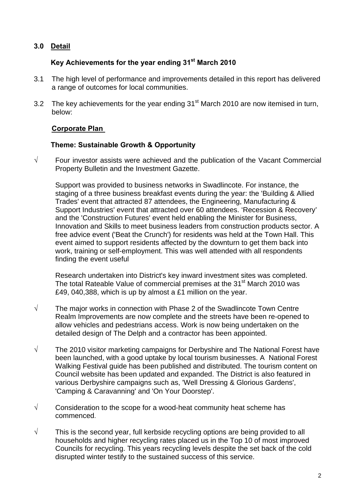# **3.0 Detail**

# **Key Achievements for the year ending 31st March 2010**

- 3.1 The high level of performance and improvements detailed in this report has delivered a range of outcomes for local communities.
- 3.2 The key achievements for the year ending  $31<sup>st</sup>$  March 2010 are now itemised in turn, below:

#### **Corporate Plan**

#### **Theme: Sustainable Growth & Opportunity**

**√** Four investor assists were achieved and the publication of the Vacant Commercial Property Bulletin and the Investment Gazette.

Support was provided to business networks in Swadlincote. For instance, the staging of a three business breakfast events during the year: the 'Building & Allied Trades' event that attracted 87 attendees, the Engineering, Manufacturing & Support Industries' event that attracted over 60 attendees. 'Recession & Recovery' and the 'Construction Futures' event held enabling the Minister for Business, Innovation and Skills to meet business leaders from construction products sector. A free advice event ('Beat the Crunch') for residents was held at the Town Hall. This event aimed to support residents affected by the downturn to get them back into work, training or self-employment. This was well attended with all respondents finding the event useful

Research undertaken into District's key inward investment sites was completed. The total Rateable Value of commercial premises at the 31<sup>st</sup> March 2010 was £49, 040,388, which is up by almost a £1 million on the year.

- **√** The major works in connection with Phase 2 of the Swadlincote Town Centre Realm Improvements are now complete and the streets have been re-opened to allow vehicles and pedestrians access. Work is now being undertaken on the detailed design of The Delph and a contractor has been appointed.
- **√** The 2010 visitor marketing campaigns for Derbyshire and The National Forest have been launched, with a good uptake by local tourism businesses. A National Forest Walking Festival guide has been published and distributed. The tourism content on Council website has been updated and expanded. The District is also featured in various Derbyshire campaigns such as, 'Well Dressing & Glorious Gardens', 'Camping & Caravanning' and 'On Your Doorstep'.
- **√** Consideration to the scope for a wood-heat community heat scheme has commenced.
- **√** This is the second year, full kerbside recycling options are being provided to all households and higher recycling rates placed us in the Top 10 of most improved Councils for recycling. This years recycling levels despite the set back of the cold disrupted winter testify to the sustained success of this service.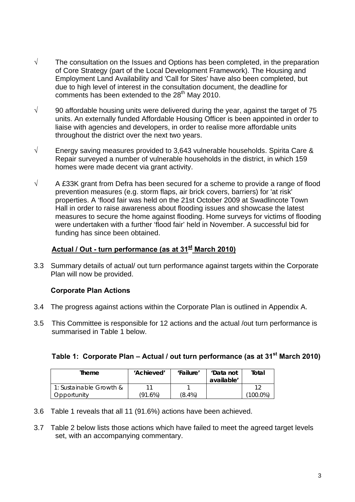- **√** The consultation on the Issues and Options has been completed, in the preparation of Core Strategy (part of the Local Development Framework). The Housing and Employment Land Availability and 'Call for Sites' have also been completed, but due to high level of interest in the consultation document, the deadline for comments has been extended to the  $28<sup>th</sup>$  May 2010.
- **√** 90 affordable housing units were delivered during the year, against the target of 75 units. An externally funded Affordable Housing Officer is been appointed in order to liaise with agencies and developers, in order to realise more affordable units throughout the district over the next two years.
- **√** Energy saving measures provided to 3,643 vulnerable households. Spirita Care & Repair surveyed a number of vulnerable households in the district, in which 159 homes were made decent via grant activity.
- **√** A £33K grant from Defra has been secured for a scheme to provide a range of flood prevention measures (e.g. storm flaps, air brick covers, barriers) for 'at risk' properties. A 'flood fair was held on the 21st October 2009 at Swadlincote Town Hall in order to raise awareness about flooding issues and showcase the latest measures to secure the home against flooding. Home surveys for victims of flooding were undertaken with a further 'flood fair' held in November. A successful bid for funding has since been obtained.

## Actual / Out - turn performance (as at 31<sup>st</sup> March 2010)

3.3 Summary details of actual/ out turn performance against targets within the Corporate Plan will now be provided.

### **Corporate Plan Actions**

- 3.4 The progress against actions within the Corporate Plan is outlined in Appendix A.
- 3.5 This Committee is responsible for 12 actions and the actual /out turn performance is summarised in Table 1 below.

#### Table 1: Corporate Plan – Actual / out turn performance (as at 31<sup>st</sup> March 2010)

| <b>Theme</b>            | 'Achieved' | 'Failure' | 'Data not<br>available' | Total       |
|-------------------------|------------|-----------|-------------------------|-------------|
| 1: Sustainable Growth & |            |           |                         |             |
| Opportunity             | (91.6%)    | $(8.4\%)$ |                         | $(100.0\%)$ |

- 3.6 Table 1 reveals that all 11 (91.6%) actions have been achieved.
- 3.7 Table 2 below lists those actions which have failed to meet the agreed target levels set, with an accompanying commentary.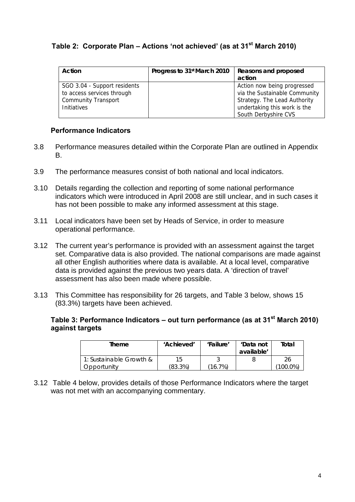### Table 2: Corporate Plan – Actions 'not achieved' (as at 31<sup>st</sup> March 2010)

| Action                       | Progress to 31 <sup>st</sup> March 2010 | Reasons and proposed          |
|------------------------------|-----------------------------------------|-------------------------------|
|                              |                                         | action                        |
| SGO 3.04 - Support residents |                                         | Action now being progressed   |
| to access services through   |                                         | via the Sustainable Community |
| <b>Community Transport</b>   |                                         | Strategy. The Lead Authority  |
| <b>Initiatives</b>           |                                         | undertaking this work is the  |
|                              |                                         | South Derbyshire CVS          |

#### **Performance Indicators**

- 3.8 Performance measures detailed within the Corporate Plan are outlined in Appendix B.
- 3.9 The performance measures consist of both national and local indicators.
- 3.10 Details regarding the collection and reporting of some national performance indicators which were introduced in April 2008 are still unclear, and in such cases it has not been possible to make any informed assessment at this stage.
- 3.11 Local indicators have been set by Heads of Service, in order to measure operational performance.
- 3.12 The current year's performance is provided with an assessment against the target set. Comparative data is also provided. The national comparisons are made against all other English authorities where data is available. At a local level, comparative data is provided against the previous two years data. A 'direction of travel' assessment has also been made where possible.
- 3.13 This Committee has responsibility for 26 targets, and Table 3 below, shows 15 (83.3%) targets have been achieved.

#### Table 3: Performance Indicators – out turn performance (as at 31<sup>st</sup> March 2010) **against targets**

| Theme                   | 'Achieved' | 'Failure'  | 'Data not<br>available' | Total        |
|-------------------------|------------|------------|-------------------------|--------------|
| 1: Sustainable Growth & | 15.        |            |                         |              |
| Opportunity             | (83.3%)    | $(16.7\%)$ |                         | .0%<br>'00.G |

3.12 Table 4 below, provides details of those Performance Indicators where the target was not met with an accompanying commentary.